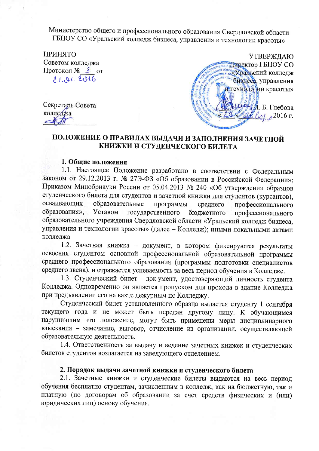Министерство общего и профессионального образования Свердловской области ГБПОУ СО «Уральский колледж бизнеса, управления и технологии красоты»

**ПРИНЯТО** Советом колледжа Протокол № 3 от 21.01.2016

Секретарь Совета

колледжа



## ПОЛОЖЕНИЕ О ПРАВИЛАХ ВЫДАЧИ И ЗАПОЛНЕНИЯ ЗАЧЕТНОЙ КНИЖКИ И СТУДЕНЧЕСКОГО БИЛЕТА

## 1. Общие положения

1.1. Настоящее Положение разработано в соответствии с Федеральным законом от 29.12.2013 г. № 27Э-ФЗ «Об образовании в Российской Федерации»; Приказом Минобрнауки России от 05.04.2013 № 240 «Об утверждении образцов студенческого билета для студентов и зачетной книжки для студентов (курсантов), осваивающих образовательные программы среднего профессионального Уставом образования», государственного бюджетного профессионального образовательного учреждения Свердловской области «Уральский колледж бизнеса, управления и технологии красоты» (далее - Колледж); иными локальными актами колледжа

1.2. Зачетная книжка - документ, в котором фиксируются результаты освоения студентом основной профессиональной образовательной программы среднего профессионального образования (программы подготовки специалистов среднего звена), и отражается успеваемость за весь период обучения в Колледже.

1.3. Студенческий билет - док умент, удостоверяющий личность студента Колледжа. Одновременно он является пропуском для прохода в здание Колледжа при предъявлении его на вахте дежурным по Колледжу.

Студенческий билет установленного образца выдается студенту 1 сентября текущего года и не может быть передан другому лицу. К обучающимся нарушившим это положение, могут быть применены меры дисциплинарного взыскания - замечание, выговор, отчисление из организации, осуществляющей образовательную деятельность.

1.4. Ответственность за выдачу и ведение зачетных книжек и студенческих билетов студентов возлагается на заведующего отделением.

## 2. Порядок выдачи зачетной книжки и студенческого билета

2.1. Зачетные книжки и студенческие билеты выдаются на весь период обучения бесплатно студентам, зачисленным в колледж, как на бюджетную, так и платную (по договорам об образовании за счет средств физических и (или) юридических лиц) основу обучения.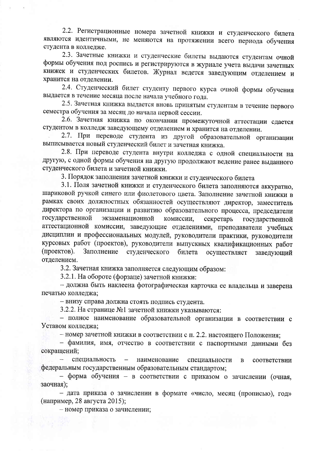2.2. Регистрационные номера зачетной книжки и студенческого билета являются идентичными, не меняются на протяжении всего периода обучения студента в колледже.

2.3. Зачетные книжки и студенческие билеты выдаются студентам очной формы обучения под роспись и регистрируются в журнале учета выдачи зачетных книжек и студенческих билетов. Журнал ведется заведующим отделением и хранится на отделении.

2.4. Студенческий билет студенту первого курса очной формы обучения выдается в течение месяца после начала учебного года.

2.5. Зачетная книжка выдается вновь принятым студентам в течение первого семестра обучения за месяц до начала первой сессии.

2.6. Зачетная книжка по окончании промежуточной аттестации сдается студентом в колледж заведующему отделением и хранится на отделении.

2.7. При переводе студента из другой образовательной организации выписывается новый студенческий билет и зачетная книжка.

2.8. При переводе студента внутри колледжа с одной специальности на другую, с одной формы обучения на другую продолжают ведение ранее выданного студенческого билета и зачетной книжки.

3. Порядок заполнения зачетной книжки и студенческого билета

3.1. Поля зачетной книжки и студенческого билета заполняются аккуратно, шариковой ручкой синего или фиолетового цвета. Заполнение зачетной книжки в рамках своих должностных обязанностей осуществляют директор, заместитель директора по организации и развитию образовательного процесса, председатели государственной экзаменационной комиссии, секретарь государственной аттестационной комиссии, заведующие отделениями, преподаватели учебных дисциплин и профессиональных модулей, руководители практики, руководители курсовых работ (проектов), руководители выпускных квалификационных работ (проектов). Заполнение студенческого билета осуществляет заведующий отделением.

3.2. Зачетная книжка заполняется следующим образом:

3.2.1. На обороте (форзаце) зачетной книжки:

- должна быть наклеена фотографическая карточка ее владельца и заверена печатью колледжа;

- внизу справа должна стоять подпись студента.

3.2.2. На странице №1 зачетной книжки указываются:

- полное наименование образовательной организации в соответствии с Уставом колледжа;

- номер зачетной книжки в соответствии с п. 2.2. настоящего Положения;

- фамилия, имя, отчество в соответствии с паспортными данными без сокращений:

 $\sim$ специальность наименование специальности  $\, {\bf B}$ соответствии федеральным государственным образовательным стандартом;

- форма обучения - в соответствии с приказом о зачислении (очная, заочная):

- дата приказа о зачислении в формате «число, месяц (прописью), год» (например, 28 августа 2015);

- номер приказа о зачислении;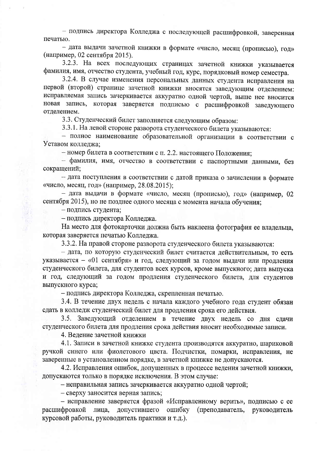- подпись директора Колледжа с последующей расшифровкой, заверенная печатью.

- дата выдачи зачетной книжки в формате «число, месяц (прописью), год» (например, 02 сентября 2015).

3.2.3. На всех последующих страницах зачетной книжки указывается фамилия, имя, отчество студента, учебный год, курс, порядковый номер семестра.

3.2.4. В случае изменения персональных данных студента исправления на первой (второй) странице зачетной книжки вносятся заведующим отделением: исправляемая запись зачеркивается аккуратно одной чертой, выше нее вносится новая запись, которая заверяется подписью с расшифровкой заведующего отлелением.

3.3. Студенческий билет заполняется следующим образом:

3.3.1. На левой стороне разворота студенческого билета указываются:

- полное наименование образовательной организации в соответствии с Уставом колледжа;

- номер билета в соответствии с п. 2.2. настоящего Положения;

- фамилия, имя, отчество в соответствии с паспортными данными. без сокращений;

- дата поступления в соответствии с датой приказа о зачислении в формате «число, месяц, год» (например, 28.08.2015);

- дата выдачи в формате «число, месяц (прописью), год» (например, 02 сентября 2015), но не позднее одного месяца с момента начала обучения;

- подпись студента;

- подпись директора Колледжа.

На место для фотокарточки должна быть наклеена фотография ее владельца, которая заверяется печатью Колледжа.

3.3.2. На правой стороне разворота студенческого билета указываются:

- дата, по которую студенческий билет считается действительным, то есть указывается - «01 сентября» и год, следующий за годом выдачи или продления студенческого билета, для студентов всех курсов, кроме выпускного; дата выпуска и год, следующий за годом продления студенческого билета, для студентов выпускного курса;

- подпись директора Колледжа, скрепленная печатью.

3.4. В течение двух недель с начала каждого учебного года студент обязан сдать в колледж студенческий билет для продления срока его действия.

3.5. Заведующий отделением в течение двух недель со дня сдачи студенческого билета для продления срока действия вносит необходимые записи.

4. Ведение зачетной книжки

4.1. Записи в зачетной книжке студента производятся аккуратно, шариковой ручкой синего или фиолетового цвета. Подчистки, помарки, исправления, не заверенные в установленном порядке, в зачетной книжке не допускаются.

4.2. Исправления ошибок, допущенных в процессе ведения зачетной книжки, допускаются только в порядке исключения. В этом случае:

- неправильная запись зачеркивается аккуратно одной чертой;

- сверху заносится верная запись;

- исправление заверяется фразой «Исправленному верить», подписью с ее расшифровкой лица, допустившего ошибку (преподаватель, руководитель курсовой работы, руководитель практики и т.д.).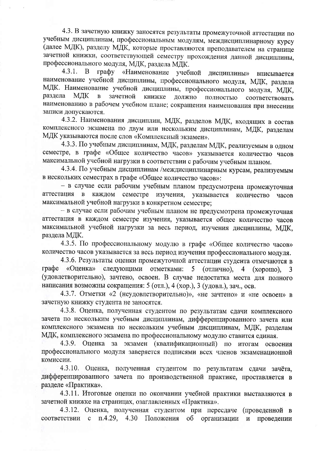4.3. В зачетную книжку заносятся результаты промежуточной аттестации по учебным дисциплинам, профессиональным модулям, междисциплинарному курсу (далее МДК), разделу МДК, которые проставляются преподавателем на странице зачетной книжки, соответствующей семестру прохождения данной дисциплины, профессионального модуля, МДК, раздела МЛК.

графу «Наименование учебной  $4.3.1.$ B. **ДИСЦИПЛИНЫ»** вписывается наименование учебной дисциплины, профессионального модуля, МДК, раздела МДК. Наименование учебной дисциплины, профессионального модуля, МДК, раздела МДК  $\mathbf{B}$ зачетной книжке должно полностью соответствовать наименованию в рабочем учебном плане; сокращения наименования при внесении записи допускаются.

4.3.2. Наименования дисциплин, МДК, разделов МДК, входящих в состав комплексного экзамена по двум или нескольким дисциплинам, МДК, разделам МДК указываются после слов «Комплексный экзамен».

4.3.3. По учебным дисциплинам, МДК, разделам МДК, реализуемым в одном семестре, в графе «Общее количество часов» указывается количество часов максимальной учебной нагрузки в соответствии с рабочим учебным планом.

4.3.4. По учебным дисциплинам /междисциплинарным курсам, реализуемым в нескольких семестрах в графе «Общее количество часов»:

- в случае если рабочим учебным планом предусмотрена промежуточная аттестация в каждом семестре изучения. указывается количество часов максимальной учебной нагрузки в конкретном семестре;

- в случае если рабочим учебным планом не предусмотрена промежуточная аттестация в каждом семестре изучения, указывается общее количество часов максимальной учебной нагрузки за весь период, изучения дисциплины, МДК, раздела МДК.

4.3.5. По профессиональному модулю в графе «Общее количество часов» количество часов указывается за весь период изучения профессионального модуля.

4.3.6. Результаты оценки промежуточной аттестации студента отмечаются в графе «Оценка» следующими отметками: 5 (отлично),  $\overline{4}$  $(xopouto)$ , 3 (удовлетворительно), зачтено, освоен. В случае недостатка места для полного написания возможны сокращения: 5 (отл.), 4 (хор.), 3 (удовл.), зач., осв.

4.3.7. Отметки «2 (неудовлетворительно)», «не зачтено» и «не освоен» в зачетную книжку студента не заносятся.

4.3.8. Оценка, полученная студентом по результатам сдачи комплексного зачета по нескольким учебным дисциплинам, дифференцированного зачета или комплексного экзамена по нескольким учебным дисциплинам, МДК, разделам МДК, комплексного экзамена по профессиональному модулю ставится единая.

4.3.9. Оценка за экзамен (квалификационный) по итогам освоения профессионального модуля заверяется подписями всех членов экзаменационной комиссии.

4.3.10. Оценка, полученная студентом по результатам сдачи зачёта, дифференцированного зачета по производственной практике, проставляется в разделе «Практика».

4.3.11. Итоговые оценки по окончании учебной практики выставляются в зачетной книжке на страницах, озаглавленных «Практика».

4.3.12. Оценка, полученная студентом при пересдаче (проведенной в соответствии с п.4.29, 4.30 Положения об организации и проведении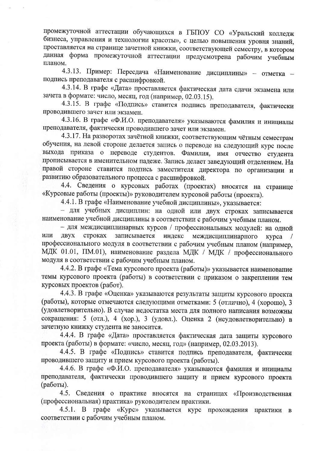промежуточной аттестации обучающихся в ГБПОУ СО «Уральский колледж бизнеса, управления и технологии красоты», с целью повышения уровня знаний, проставляется на странице зачетной книжки, соответствующей семестру, в котором данная форма промежуточной аттестации предусмотрена рабочим учебным планом.

4.3.13. Пример: Пересдача «Наименование дисциплины» - отметка подпись преподавателя с расшифровкой.

4.3.14. В графе «Дата» проставляется фактическая дата сдачи экзамена или зачета в формате: число, месяц, год (например, 02.03.15).

4.3.15. В графе «Подпись» ставится подпись преподавателя, фактически проводившего зачет или экзамен.

4.3.16. В графе «Ф.И.О. преподавателя» указываются фамилия и инициалы преподавателя, фактически проводившего зачет или экзамен.

4.3.17. На разворотах зачётной книжки, соответствующим чётным семестрам обучения, на левой стороне делается запись о переводе на следующий курс после выхода приказа о переводе студентов. Фамилия, имя отчество студента прописывается в именительном падеже. Запись делает заведующий отделением. На правой стороне ставится подпись заместителя директора по организации и развитию образовательного процесса с расшифровкой.

4.4. Сведения о курсовых работах (проектах) вносятся на странице «Курсовые работы (проекты)» руководителем курсовой работы (проекта).

4.4.1. В графе «Наименование учебной дисциплины», указывается:

- для учебных дисциплин: на одной или двух строках записывается наименование учебной дисциплины в соответствии с рабочим учебным планом.

- для междисциплинарных курсов / профессиональных модулей: на одной ИЛИ строках записывается индекс ДВУХ междисциплинарного курса профессионального модуля в соответствии с рабочим учебным планом (например, МДК 01.01, ПМ.01), наименование раздела МДК / МДК / профессионального модуля в соответствии с рабочим учебным планом.

4.4.2. В графе «Тема курсового проекта (работы)» указывается наименование темы курсового проекта (работы) в соответствии с приказом о закреплении тем курсовых проектов (работ).

4.4.3. В графе «Оценка» указываются результаты защиты курсового проекта (работы), которые отмечаются следующими отметками: 5 (отлично), 4 (хорошо), 3 (удовлетворительно). В случае недостатка места для полного написания возможны сокращения: 5 (отл.), 4 (хор.), 3 (удовл.). Оценка 2 (неудовлетворительно) в зачетную книжку студента не заносится.

4.4.4. В графе «Дата» проставляется фактическая дата защиты курсового проекта (работы) в формате: «число, месяц, год» (например, 02.03.2013).

4.4.5. В графе «Подпись» ставится подпись преподавателя, фактически проводившего защиту и прием курсового проекта (работы).

4.4.6. В графе «Ф.И.О. преподавателя» указываются фамилия и инициалы преподавателя, фактически проводившего защиту и прием курсового проекта (работы).

4.5. Сведения о практике вносятся на страницах «Производственная (профессиональная) практика» руководителем практики.

4.5.1. В графе «Курс» указывается курс прохождения практики в соответствии с рабочим учебным планом.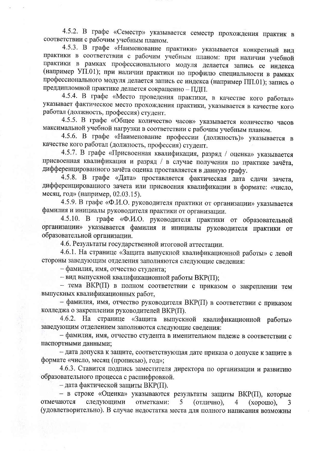4.5.2. В графе «Семестр» указывается семестр прохождения практик в соответствии с рабочим учебным планом.

4.5.3. В графе «Наименование практики» указывается конкретный вид практики в соответствии с рабочим учебным планом: при наличии учебной практики в рамках профессионального модуля делается запись ее индекса (например УП.01); при наличии практики по профилю специальности в рамках профессионального модуля делается запись ее индекса (например ПП.01); запись о преддипломной практике делается сокращенно - ПДП.

4.5.4. В графе «Место проведения практики, в качестве кого работал» указывает фактическое место прохождения практики, указывается в качестве кого работал (должность, профессия) студент.

4.5.5. В графе «Общее количество часов» указывается количество часов максимальной учебной нагрузки в соответствии с рабочим учебным планом.

4.5.6. В графе «Наименование профессии (должность)» указывается в качестве кого работал (должность, профессия) студент.

4.5.7. В графе «Присвоенная квалификация, разряд / оценка» указывается присвоенная квалификация и разряд / в случае получения по практике зачёта, дифференцированного зачёта оценка проставляется в данную графу.

4.5.8. В графе «Дата» проставляется фактическая дата сдачи зачета, дифференцированного зачета или присвоения квалификации в формате: «число, месяц, год» (например, 02.03.15).

4.5.9. В графе «Ф.И.О. руководителя практики от организации» указывается фамилия и инициалы руководителя практики от организации.

4.5.10. В графе «Ф.И.О. руководителя практики от образовательной организации» указывается фамилия и инициалы руководителя практики от образовательной организации.

4.6. Результаты государственной итоговой аттестации.

4.6.1. На странице «Защита выпускной квалификационной работы» с левой стороны заведующим отделения заполняются следующие сведения:

- фамилия, имя, отчество студента;

- вид выпускной квалификационной работы ВКР(II);

- тема ВКР(П) в полном соответствии с приказом о закреплении тем выпускных квалификационных работ,

- фамилия, имя, отчество руководителя ВКР(П) в соответствии с приказом колледжа о закреплении руководителей ВКР(П).

4.6.2. На странице «Защита выпускной квалификационной работы» заведующим отделением заполняются следующие сведения:

- фамилия, имя, отчество студента в именительном падеже в соответствии с паспортными данными;

- дата допуска к защите, соответствующая дате приказа о допуске к защите в формате «число, месяц (прописью), год»;

4.6.3. Ставится подпись заместителя директора по организации и развитию образовательного процесса с расшифровкой.

- дата фактической защиты ВКР(П).

- в строке «Оценка» указываются результаты защиты ВКР(П), которые следующими отмечаются отметками:  $5<sup>5</sup>$ (отлично), 4  $(xopouto)$ , (удовлетворительно). В случае недостатка места для полного написания возможны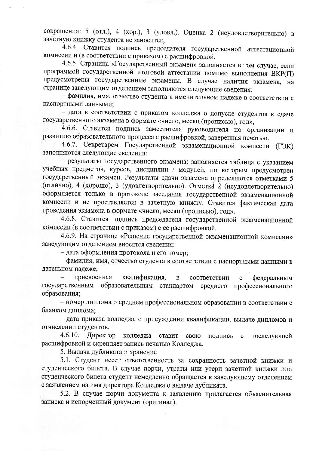сокращения: 5 (отл.), 4 (хор.), 3 (удовл.). Оценка 2 (неудовлетворительно) в зачетную книжку студента не заносится.

4.6.4. Ставится подпись председателя государственной аттестационной комиссии и (в соответствии с приказом) с расшифровкой.

4.6.5. Страница «Государственный экзамен» заполняется в том случае, если программой государственной итоговой аттестации помимо выполнения ВКР(II) предусмотрены государственные экзамены. В случае наличия экзамена, на странице заведующим отделением заполняются следующие сведения:

- фамилия, имя, отчество студента в именительном падеже в соответствии с паспортными данными;

- дата в соответствии с приказом колледжа о допуске студентов к сдаче государственного экзамена в формате «число, месяц (прописью), год»,

4.6.6. Ставится подпись заместителя руководителя по организации и развитию образовательного процесса с расшифровкой, заверенная печатью.

4.6.7. Секретарем Государственной экзаменационной комиссии (ГЭК) заполняются следующие сведения:

- результаты государственного экзамена: заполняется таблица с указанием учебных предметов, курсов, дисциплин / модулей, по которым предусмотрен государственный экзамен. Результаты сдачи экзамена определяются отметками 5 (отлично), 4 (хорошо), 3 (удовлетворительно). Отметка 2 (неудовлетворительно) оформляется только в протоколе заседания государственной экзаменационной комиссии и не проставляется в зачетную книжку. Ставится фактическая дата проведения экзамена в формате «число, месяц (прописью), год».

4.6.8. Ставится подпись председателя государственной экзаменационной комиссии (в соответствии с приказом) с ее расшифровкой.

4.6.9. На странице «Решение государственной экзаменационной комиссии» заведующим отделением вносятся сведения:

- дата оформления протокола и его номер;

- фамилия, имя, отчество студента в соответствии с паспортными данными в дательном падеже;

присвоенная квалификация, соответствии  $\, {\bf B}$ федеральным  $\ddot{\textbf{C}}$ образовательным стандартом государственным среднего профессионального образования;

- номер диплома о среднем профессиональном образовании в соответствии с бланком диплома;

- дата приказа колледжа о присуждении квалификации, выдаче дипломов и отчислении студентов.

 $4.6.10.$ Директор колледжа ставит свою подпись последующей  $\mathbf C$ расшифровкой и скрепляет запись печатью Колледжа.

5. Выдача дубликата и хранение

5.1. Студент несет ответственность за сохранность зачетной книжки и студенческого билета. В случае порчи, утраты или утери зачетной книжки или студенческого билета студент немедленно обращается к заведующему отделением с заявлением на имя директора Колледжа о выдаче дубликата.

5.2. В случае порчи документа к заявлению прилагается объяснительная записка и испорченный документ (оригинал).